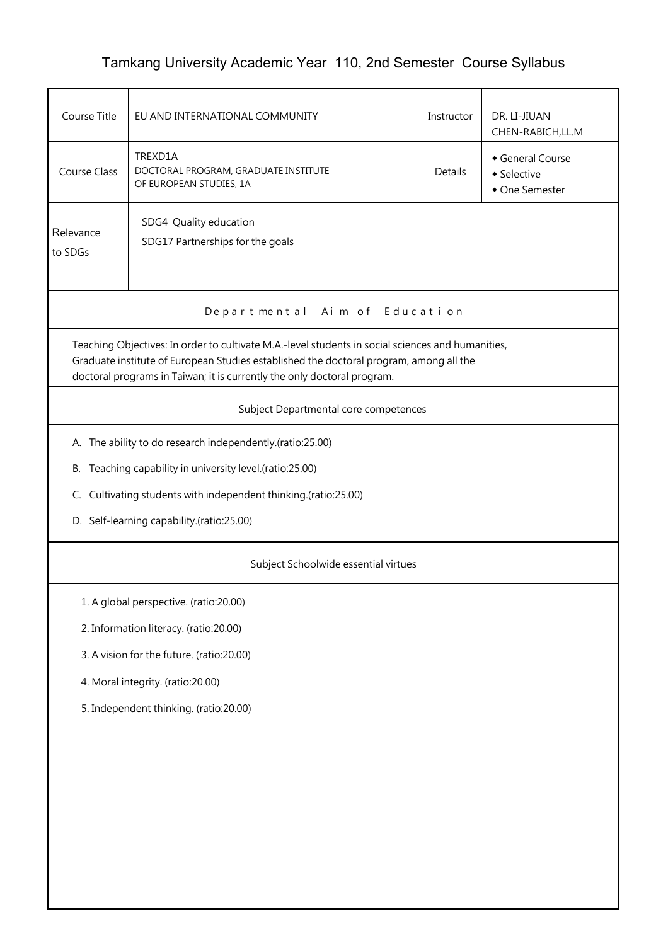## Tamkang University Academic Year 110, 2nd Semester Course Syllabus

| Course Title                                                                                                                                                                                                                                                           | EU AND INTERNATIONAL COMMUNITY                                             | Instructor | DR. LI-JIUAN<br>CHEN-RABICH, LL.M               |  |  |  |  |  |  |  |
|------------------------------------------------------------------------------------------------------------------------------------------------------------------------------------------------------------------------------------------------------------------------|----------------------------------------------------------------------------|------------|-------------------------------------------------|--|--|--|--|--|--|--|
| <b>Course Class</b>                                                                                                                                                                                                                                                    | TREXD1A<br>DOCTORAL PROGRAM, GRADUATE INSTITUTE<br>OF EUROPEAN STUDIES, 1A | Details    | General Course<br>• Selective<br>• One Semester |  |  |  |  |  |  |  |
| Relevance<br>to SDGs                                                                                                                                                                                                                                                   | SDG4 Quality education<br>SDG17 Partnerships for the goals                 |            |                                                 |  |  |  |  |  |  |  |
| Departmental Aim of Education                                                                                                                                                                                                                                          |                                                                            |            |                                                 |  |  |  |  |  |  |  |
| Teaching Objectives: In order to cultivate M.A.-level students in social sciences and humanities,<br>Graduate institute of European Studies established the doctoral program, among all the<br>doctoral programs in Taiwan; it is currently the only doctoral program. |                                                                            |            |                                                 |  |  |  |  |  |  |  |
| Subject Departmental core competences                                                                                                                                                                                                                                  |                                                                            |            |                                                 |  |  |  |  |  |  |  |
| A. The ability to do research independently.(ratio:25.00)                                                                                                                                                                                                              |                                                                            |            |                                                 |  |  |  |  |  |  |  |
|                                                                                                                                                                                                                                                                        | B. Teaching capability in university level.(ratio:25.00)                   |            |                                                 |  |  |  |  |  |  |  |
|                                                                                                                                                                                                                                                                        | C. Cultivating students with independent thinking.(ratio:25.00)            |            |                                                 |  |  |  |  |  |  |  |
| D. Self-learning capability.(ratio:25.00)                                                                                                                                                                                                                              |                                                                            |            |                                                 |  |  |  |  |  |  |  |
| Subject Schoolwide essential virtues                                                                                                                                                                                                                                   |                                                                            |            |                                                 |  |  |  |  |  |  |  |
|                                                                                                                                                                                                                                                                        | 1. A global perspective. (ratio:20.00)                                     |            |                                                 |  |  |  |  |  |  |  |
|                                                                                                                                                                                                                                                                        | 2. Information literacy. (ratio:20.00)                                     |            |                                                 |  |  |  |  |  |  |  |
|                                                                                                                                                                                                                                                                        | 3. A vision for the future. (ratio:20.00)                                  |            |                                                 |  |  |  |  |  |  |  |
| 4. Moral integrity. (ratio:20.00)                                                                                                                                                                                                                                      |                                                                            |            |                                                 |  |  |  |  |  |  |  |
| 5. Independent thinking. (ratio:20.00)                                                                                                                                                                                                                                 |                                                                            |            |                                                 |  |  |  |  |  |  |  |
|                                                                                                                                                                                                                                                                        |                                                                            |            |                                                 |  |  |  |  |  |  |  |
|                                                                                                                                                                                                                                                                        |                                                                            |            |                                                 |  |  |  |  |  |  |  |
|                                                                                                                                                                                                                                                                        |                                                                            |            |                                                 |  |  |  |  |  |  |  |
|                                                                                                                                                                                                                                                                        |                                                                            |            |                                                 |  |  |  |  |  |  |  |
|                                                                                                                                                                                                                                                                        |                                                                            |            |                                                 |  |  |  |  |  |  |  |
|                                                                                                                                                                                                                                                                        |                                                                            |            |                                                 |  |  |  |  |  |  |  |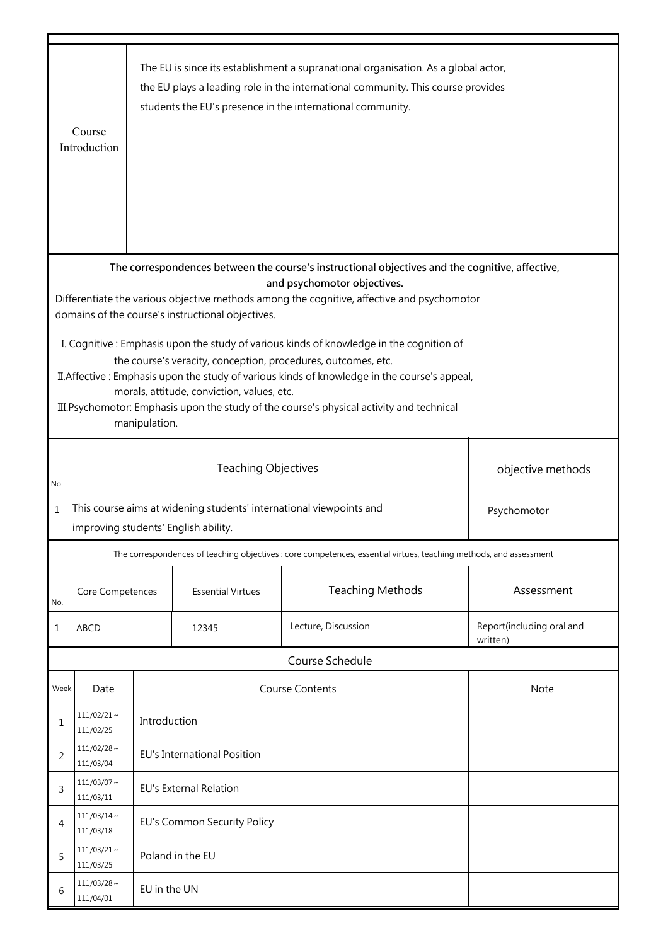|                                                                                                                                                                                                                                                                                                                                                                                                                                                                           | The EU is since its establishment a supranational organisation. As a global actor,<br>the EU plays a leading role in the international community. This course provides<br>students the EU's presence in the international community.<br>Course<br>Introduction |                                                                                                                            |                          |                                                                                                                    |                                       |  |  |  |  |  |  |
|---------------------------------------------------------------------------------------------------------------------------------------------------------------------------------------------------------------------------------------------------------------------------------------------------------------------------------------------------------------------------------------------------------------------------------------------------------------------------|----------------------------------------------------------------------------------------------------------------------------------------------------------------------------------------------------------------------------------------------------------------|----------------------------------------------------------------------------------------------------------------------------|--------------------------|--------------------------------------------------------------------------------------------------------------------|---------------------------------------|--|--|--|--|--|--|
| The correspondences between the course's instructional objectives and the cognitive, affective,                                                                                                                                                                                                                                                                                                                                                                           |                                                                                                                                                                                                                                                                |                                                                                                                            |                          |                                                                                                                    |                                       |  |  |  |  |  |  |
| and psychomotor objectives.<br>Differentiate the various objective methods among the cognitive, affective and psychomotor                                                                                                                                                                                                                                                                                                                                                 |                                                                                                                                                                                                                                                                |                                                                                                                            |                          |                                                                                                                    |                                       |  |  |  |  |  |  |
| domains of the course's instructional objectives.<br>I. Cognitive: Emphasis upon the study of various kinds of knowledge in the cognition of<br>the course's veracity, conception, procedures, outcomes, etc.<br>II. Affective: Emphasis upon the study of various kinds of knowledge in the course's appeal,<br>morals, attitude, conviction, values, etc.<br>III. Psychomotor: Emphasis upon the study of the course's physical activity and technical<br>manipulation. |                                                                                                                                                                                                                                                                |                                                                                                                            |                          |                                                                                                                    |                                       |  |  |  |  |  |  |
| No.                                                                                                                                                                                                                                                                                                                                                                                                                                                                       |                                                                                                                                                                                                                                                                |                                                                                                                            | objective methods        |                                                                                                                    |                                       |  |  |  |  |  |  |
| $\mathbf 1$                                                                                                                                                                                                                                                                                                                                                                                                                                                               |                                                                                                                                                                                                                                                                | This course aims at widening students' international viewpoints and<br>Psychomotor<br>improving students' English ability. |                          |                                                                                                                    |                                       |  |  |  |  |  |  |
|                                                                                                                                                                                                                                                                                                                                                                                                                                                                           |                                                                                                                                                                                                                                                                |                                                                                                                            |                          | The correspondences of teaching objectives : core competences, essential virtues, teaching methods, and assessment |                                       |  |  |  |  |  |  |
| No.                                                                                                                                                                                                                                                                                                                                                                                                                                                                       | Core Competences                                                                                                                                                                                                                                               |                                                                                                                            | <b>Essential Virtues</b> | <b>Teaching Methods</b>                                                                                            | Assessment                            |  |  |  |  |  |  |
| 1                                                                                                                                                                                                                                                                                                                                                                                                                                                                         | ABCD                                                                                                                                                                                                                                                           | Lecture, Discussion<br>12345                                                                                               |                          |                                                                                                                    | Report(including oral and<br>written) |  |  |  |  |  |  |
|                                                                                                                                                                                                                                                                                                                                                                                                                                                                           |                                                                                                                                                                                                                                                                |                                                                                                                            |                          | Course Schedule                                                                                                    |                                       |  |  |  |  |  |  |
| Week                                                                                                                                                                                                                                                                                                                                                                                                                                                                      | Date                                                                                                                                                                                                                                                           |                                                                                                                            |                          | <b>Course Contents</b>                                                                                             | <b>Note</b>                           |  |  |  |  |  |  |
| 1                                                                                                                                                                                                                                                                                                                                                                                                                                                                         | $111/02/21$ ~<br>111/02/25                                                                                                                                                                                                                                     | Introduction                                                                                                               |                          |                                                                                                                    |                                       |  |  |  |  |  |  |
| 2                                                                                                                                                                                                                                                                                                                                                                                                                                                                         | $111/02/28$ ~<br>111/03/04                                                                                                                                                                                                                                     | <b>EU's International Position</b>                                                                                         |                          |                                                                                                                    |                                       |  |  |  |  |  |  |
| 3                                                                                                                                                                                                                                                                                                                                                                                                                                                                         | $111/03/07$ ~<br>111/03/11                                                                                                                                                                                                                                     | <b>EU's External Relation</b>                                                                                              |                          |                                                                                                                    |                                       |  |  |  |  |  |  |
| 4                                                                                                                                                                                                                                                                                                                                                                                                                                                                         | $111/03/14$ ~<br>111/03/18                                                                                                                                                                                                                                     | EU's Common Security Policy                                                                                                |                          |                                                                                                                    |                                       |  |  |  |  |  |  |
| 5                                                                                                                                                                                                                                                                                                                                                                                                                                                                         | $111/03/21$ ~<br>111/03/25                                                                                                                                                                                                                                     | Poland in the EU                                                                                                           |                          |                                                                                                                    |                                       |  |  |  |  |  |  |
| 6                                                                                                                                                                                                                                                                                                                                                                                                                                                                         | $111/03/28$ ~<br>111/04/01                                                                                                                                                                                                                                     | EU in the UN                                                                                                               |                          |                                                                                                                    |                                       |  |  |  |  |  |  |